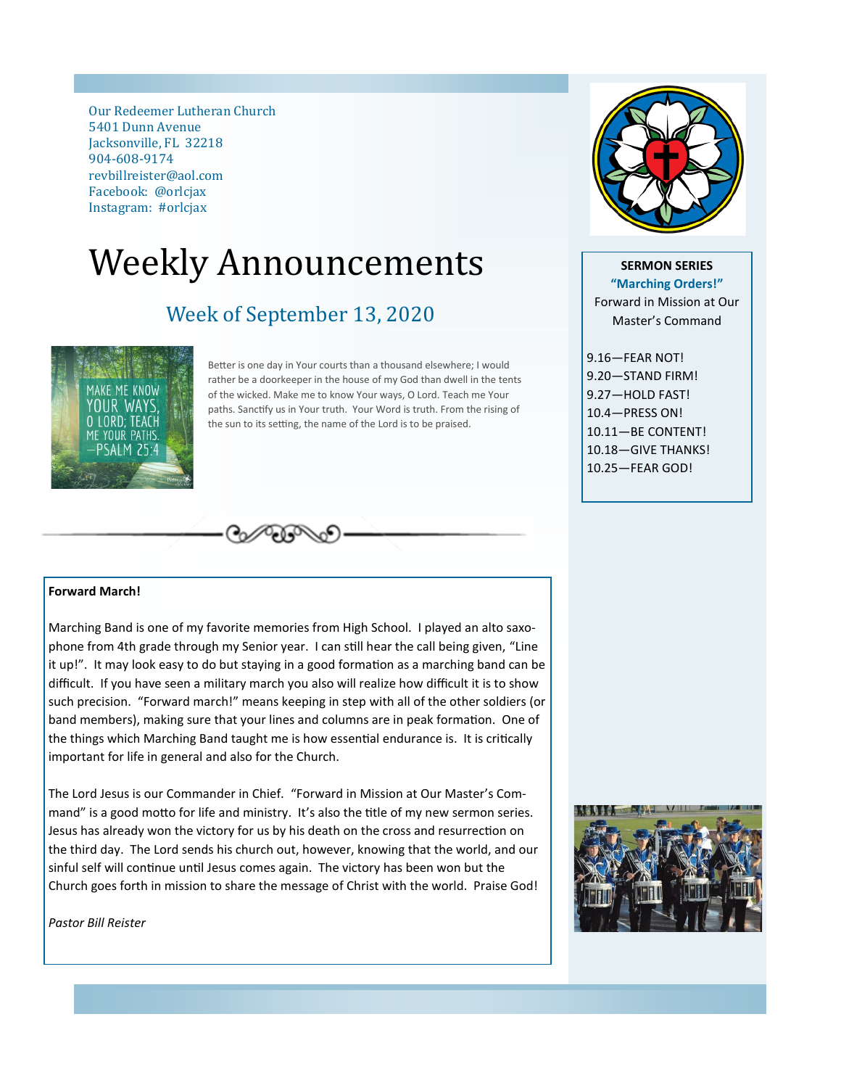Our Redeemer Lutheran Church 5401 Dunn Avenue Jacksonville, FL 32218 904-608-9174 revbillreister@aol.com Facebook: @orlcjax Instagram: #orlcjax

# Weekly Announcements

# Week of September 13, 2020



Better is one day in Your courts than a thousand elsewhere; I would rather be a doorkeeper in the house of my God than dwell in the tents of the wicked. Make me to know Your ways, O Lord. Teach me Your paths. Sanctify us in Your truth. Your Word is truth. From the rising of the sun to its setting, the name of the Lord is to be praised.



**SERMON SERIES "Marching Orders!"** Forward in Mission at Our Master's Command

9.16—FEAR NOT! 9.20—STAND FIRM! 9.27—HOLD FAST! 10.4—PRESS ON! 10.11—BE CONTENT! 10.18—GIVE THANKS! 10.25—FEAR GOD!

#### **Forward March!**

Marching Band is one of my favorite memories from High School. I played an alto saxophone from 4th grade through my Senior year. I can still hear the call being given, "Line it up!". It may look easy to do but staying in a good formation as a marching band can be difficult. If you have seen a military march you also will realize how difficult it is to show such precision. "Forward march!" means keeping in step with all of the other soldiers (or band members), making sure that your lines and columns are in peak formation. One of the things which Marching Band taught me is how essential endurance is. It is critically important for life in general and also for the Church.

 $\mathcal{O}_{\mathcal{O}}$ 

The Lord Jesus is our Commander in Chief. "Forward in Mission at Our Master's Command" is a good motto for life and ministry. It's also the title of my new sermon series. Jesus has already won the victory for us by his death on the cross and resurrection on the third day. The Lord sends his church out, however, knowing that the world, and our sinful self will continue until Jesus comes again. The victory has been won but the Church goes forth in mission to share the message of Christ with the world. Praise God!

*Pastor Bill Reister*